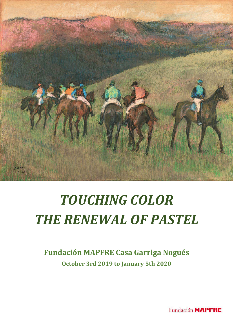

# *TOUCHING COLOR THE RENEWAL OF PASTEL*

## **Fundación MAPFRE Casa Garriga Nogués October 3rd 2019 to January 5th 2020**

**Fundación MAPFRE**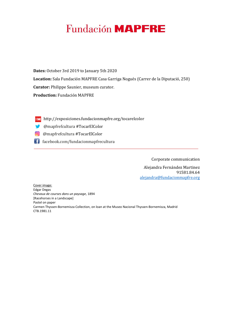# **Fundación MAPFRE**

**Dates:** October 3rd 2019 to January 5th 2020 **Location:** Sala Fundación MAPFRE Casa Garriga Nogués (Carrer de la Diputació, 250) **Curator:** Philippe Saunier, museum curator. **Production:** Fundación MAPFRE

- http://exposiciones.fundacionmapfre.org/tocarelcolor
- @mapfrefcultura #TocarElColor
- @mapfrefcultura #TocarElColor
- facebook.com/fundacionmapfrecultura

Corporate communication

Alejandra Fernández Martinez 91581.84.64 alejandra@fundacionmapfre.org

Cover image: Edgar Degas *Chevaux de courses dans un paysage*, 1894 [Racehorses in a Landscape] Pastel on paper Carmen Thyssen-Bornemisza Collection, on loan at the Museo Nacional Thyssen-Bornemisza, Madrid CTB.1981.11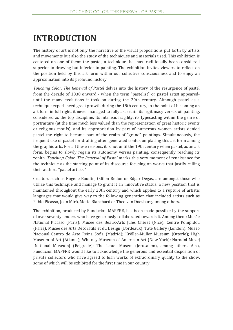## **INTRODUCTION**

The history of art is not only the narrative of the visual propositions put forth by artists and movements but also the study of the techniques and materials used. This exhibition is centered on one of them: the pastel, a technique that has traditionally been considered superior to drawing but inferior to painting. The exhibition invites viewers to reflect on the position held by this art form within our collective consciousness and to enjoy an approximation into its profound history.

*Touching Color. The Renewal of Pastel* delves into the history of the resurgence of pastel from the decade of 1830 onward - when the term "pastelist" or pastel artist appeareduntil the many evolutions it took on during the 20th century. Although pastel as a technique experienced great growth during the 18th century, to the point of becoming an art form in full right, it never managed to fully ascertain its legitimacy versus oil painting, considered as the top discipline. Its intrinsic fragility, its typecasting within the genre of portraiture (at the time much less valued than the representation of great historic events or religious motifs), and its appropriation by part of numerous women artists denied pastel the right to become part of the realm of "grand" paintings. Simultaneously, the frequent use of pastel for drafting often generated confusion placing this art form among the graphic arts. For all these reasons, it is not until the 19th century when pastel, as an art form, begins to slowly regain its autonomy versus painting, consequently reaching its zenith. *Touching Color. The Renewal of Pastel* marks this very moment of renaissance for the technique as the starting point of its discourse focusing on works that justify calling their authors "pastel artists."

Creators such as Eugène Boudin, Odilon Redon or Edgar Degas, are amongst those who utilize this technique and manage to grant it an innovative status; a new position that is maintained throughout the early 20th century and which applies to a rupture of artistic languages that would give way to the following generation that included artists such as Pablo Picasso, Joan Miró, María Blanchard or Theo van Doesburg, among others.

The exhibition, produced by Fundación MAPFRE, has been made possible by the support of over seventy lenders who have generously collaborated towards it. Among them: Musée National Picasso (Paris); Musée des Beaux-Arts Jules Chéret (Nice); Centre Pompidou (Paris); Musée des Arts Décoratifs et du Design (Bordeaux); Tate Gallery (London); Museo Nacional Centro de Arte Reina Sofía (Madrid); Kröller-Müller Museum (Otterlo); High Museum of Art (Atlanta); Whitney Museum of American Art (New York); Narodni Muzej [National Museum] (Belgrade); The Israel Musem (Jerusalem), among others. Also, Fundación MAPFRE would like to acknowledge the generous and essential disposition of private collectors who have agreed to loan works of extraordinary quality to the show, some of which will be exhibited for the first time in our country.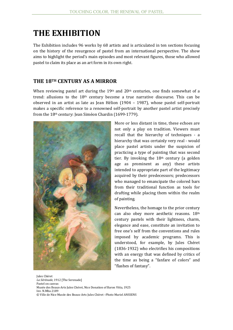### **THE EXHIBITION**

The Exhibition includes 96 works by 68 artists and is articulated in ten sections focusing on the history of the resurgence of pastel from an international perspective. The show aims to highlight the period's main episodes and most relevant figures, those who allowed pastel to claim its place as an art form in its own right.

#### **THE 18TH CENTURY AS A MIRROR**

When reviewing pastel art during the  $19<sup>th</sup>$  and  $20<sup>th</sup>$  centuries, one finds somewhat of a trend: allusions to the 18th century become a true narrative discourse. This can be observed in an artist as late as Jean Hélion (1904 – 1987), whose pastel self-portrait makes a specific reference to a renowned self-portrait by another pastel artist precisely from the 18th century: Jean Siméon Chardin (1699-1779).



More or less distant in time, these echoes are not only a play on tradition. Viewers must recall that the hierarchy of techniques - a hierarchy that was certainly very real - would place pastel artists under the suspicion of practicing a type of painting that was second tier. By invoking the  $18<sup>th</sup>$  century (a golden age as prominent as any) these artists intended to appropriate part of the legitimacy acquired by their predecessors; predecessors who managed to emancipate the colored bars from their traditional function as tools for drafting while placing them within the realm of painting.

Nevertheless, the homage to the prior century can also obey more aesthetic reasons. 18th century pastels with their lightness, charm, elegance and ease, constitute an invitation to free one's self from the conventions and rules imposed by academic programs. This is understood, for example, by Jules Chéret (1836-1932) who electrifies his compositions with an energy that was defined by critics of the time as being a "fanfare of colors" and "flashes of fantasy".

Jules Chéret *La Sérénade,* 1912 [The Serenade] Pastel on canvas Musée des Beaux-Arts Jules Chéret, Nice Donation of Baron Vitta, 1925 Inv. N.Mba 2189 © Ville de Nice Musée des Beaux-Arts Jules Chéret –Photo Muriel ANSSENS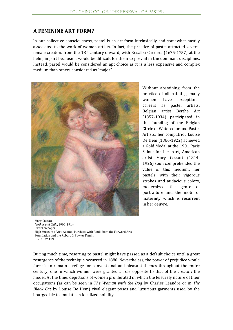#### **A FEMININE ART FORM?**

In our collective consciousness, pastel is an art form intrinsically and somewhat hastily associated to the work of women artists. In fact, the practice of pastel attracted several female creators from the  $18<sup>th</sup>$  century onward, with Rosalba Carriera (1675-1757) at the helm, in part because it would be difficult for them to prevail in the dominant disciplines. Instead, pastel would be considered an apt choice as it is a less expensive and complex medium than others considered as "major".



Without abstaining from the practice of oil painting, many women have exceptional careers as pastel artists: Belgian artist Berthe Art (1857-1934) participated in the founding of the Belgian Circle of Watercolor and Pastel Artists; her compatriot Louise De Hem (1866-1922) achieved a Gold Medal at the 1901 Paris Salon; for her part, American artist Mary Cassatt (1844- 1926) soon comprehended the value of this medium; her pastels, with their vigorous strokes and audacious colors, modernized the genre of portraiture and the motif of maternity which is recurrent in her oeuvre.

Mary Cassatt *Mother and Child*, 1900-1914 Pastel on paper High Museum of Art, Atlanta. Purchase with funds from the Forward Arts Foundation and the Robert D. Fowler Family Inv. 2.007.119

During much time, resorting to pastel might have passed as a default choice until a great resurgence of the technique occurred in 1880. Nevertheless, the power of prejudice would force it to remain a refuge for conventional and pleasant themes throughout the entire century, one in which women were granted a role opposite to that of the creator: the model. At the time, depictions of women proliferated in which the leisurely nature of their occupations (as can be seen in *The Woman with the Dog* by Charles Léandre or in *The Black Cat* by Louise De Hem) rival elegant poses and luxurious garments used by the bourgeoisie to emulate an idealized nobility.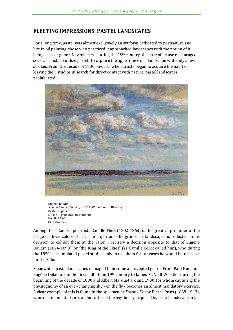#### **FLEETING IMPRESSIONS: PASTEL LANDSCAPES**

For a long time, pastel was almost exclusively an art form dedicated to portraiture and, like in oil painting, those who practiced it approached landscapes with the notion of it being a lesser genre. Nevertheless, during the 19<sup>th</sup> century, the ease of its use encouraged several artists to utilize pastels to capture the appearance of a landscape with only a few strokes. From the decade of 1830 onward, when artists began to acquire the habit of leaving their studios in search for direct contact with nature, pastel landscapes proliferated.



Eugène Boudin *Nuages blancs, ciel bleu*, c. 1859 [White Clouds, Blue Sky] Pastel on paper Musée Eugène Boudin, Honfleur Inv. 899.1.63 © H. Brauner

Among these landscape artists Camille Flers (1802-1868) is the greatest promoter of the usage of these colored bars. The importance he grants his landscapes is reflected in his decision to exhibit them at the Salon. Precisely a decision opposite to that of Eugène Boudin (1824-1898), or "the King of the Skies" (as Camille Corot called him), who during the 1850's accumulated pastel studies only to use them for canvases he would in turn save for the Salon.

Meanwhile, pastel landscapes managed to become an accepted genre. From Paul Huet and Eugène Delacroix in the first half of the 19th century to James McNeill Whistler during the beginning of the decade of 1880 and Albert Marquet around 1900, for whom capturing the physiognomy of an ever-changing sky - on the fly - becomes an almost mandatory exercise. A clear example of this is found in the spectacular *Stormy Sky* by Pierre Prins (1838-1913), whose monumentalism is an indicator of the legitimacy acquired by pastel landscape art.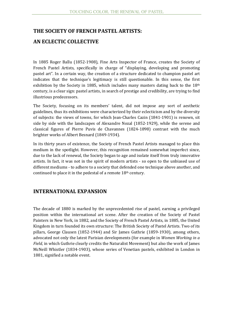#### **THE SOCIETY OF FRENCH PASTEL ARTISTS:**

#### **AN ECLECTIC COLLECTIVE**

In 1885 Roger Ballu (1852-1908), Fine Arts Inspector of France, creates the Society of French Pastel Artists, specifically in charge of "displaying, developing and promoting pastel art". In a certain way, the creation of a structure dedicated to champion pastel art indicates that the technique's legitimacy is still questionable. In this sense, the first exhibition by the Society in 1885, which includes many masters dating back to the  $18<sup>th</sup>$ century, is a clear sign: pastel artists, in search of prestige and credibility, are trying to find illustrious predecessors.

The Society, focusing on its members' talent, did not impose any sort of aesthetic guidelines, thus its exhibitions were characterized by their eclecticism and by the diversity of subjects: the views of towns, for which Jean-Charles Cazin (1841-1901) is renown, sit side by side with the landscapes of Alexandre Nozal (1852-1929), while the serene and classical figures of Pierre Puvis de Chavannes (1824-1898) contrast with the much brighter works of Albert Besnard (1849-1934).

In its thirty years of existence, the Society of French Pastel Artists managed to place this medium in the spotlight. However, this recognition remained somewhat imperfect since, due to the lack of renewal, the Society began to age and isolate itself from truly innovative artists. In fact, it was not in the spirit of modern artists - so open to the unbiased use of different mediums - to adhere to a society that defended one technique above another, and continued to place it in the pedestal of a remote  $18<sup>th</sup>$  century.

#### **INTERNATIONAL EXPANSION**

The decade of 1880 is marked by the unprecedented rise of pastel, earning a privileged position within the international art scene. After the creation of the Society of Pastel Painters in New York, in 1882, and the Society of French Pastel Artists, in 1885, the United Kingdom in turn founded its own structure: The British Society of Pastel Artists. Two of its pillars, George Clausen (1852-1944) and Sir James Guthrie (1859-1930), among others, advocated not only the latest Parisian developments (for example in *Women Working in a Field,* in which Guthrie clearly credits the Naturalist Movement) but also the work of James McNeill Whistler (1834-1903), whose series of Venetian pastels, exhibited in London in 1881, signified a notable event.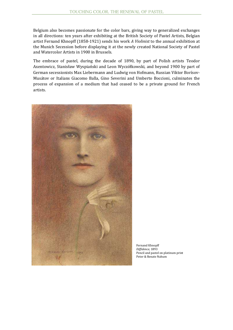Belgium also becomes passionate for the color bars, giving way to generalized exchanges in all directions: ten years after exhibiting at the British Society of Pastel Artists, Belgian artist Fernand Khnopff (1858-1921) sends his work *A Violinist* to the annual exhibition at the Munich Secession before displaying it at the newly created National Society of Pastel and Watercolor Artists in 1900 in Brussels.

The embrace of pastel, during the decade of 1890, by part of Polish artists Teodor Axentowicz, Stanisław Wyspiański and Leon Wyczółkowski, and beyond 1900 by part of German secessionists Max Liebermann and Ludwig von Hofmann, Russian Viktor Borísov-Musátov or Italians Giacomo Balla, Gino Severini and Umberto Boccioni, culminates the process of expansion of a medium that had ceased to be a private ground for French artists.



Fernand Khnopff *Diffidence*, 1893 Pencil and pastel on platinum print Peter & Renate Nahum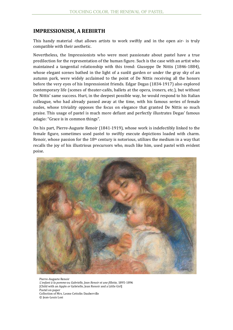#### **IMPRESSIONISM, A REBIRTH**

This handy material -that allows artists to work swiftly and in the open air- is truly compatible with their aesthetic.

Nevertheless, the Impressionists who were most passionate about pastel have a true predilection for the representation of the human figure. Such is the case with an artist who maintained a tangential relationship with this trend: Giuseppe De Nittis (1846-1884), whose elegant scenes bathed in the light of a sunlit garden or under the gray sky of an autumn park, were widely acclaimed to the point of De Nittis receiving all the honors before the very eyes of his Impressionist friends. Edgar Degas (1834-1917) also explored contemporary life (scenes of theater-cafés, ballets at the opera, ironers, etc.), but without De Nittis' same success. Hurt, in the deepest possible way, he would respond to his Italian colleague, who had already passed away at the time, with his famous series of female nudes, whose triviality opposes the focus on elegance that granted De Nittis so much praise. This usage of pastel is much more defiant and perfectly illustrates Degas' famous adagio: "Grace is in common things".

On his part, Pierre-Auguste Renoir (1841-1919), whose work is indefectibly linked to the female figure, sometimes used pastel to swiftly execute depictions loaded with charm. Renoir, whose passion for the  $18<sup>th</sup>$  century is notorious, utilizes the medium in a way that recalls the joy of his illustrious precursors who, much like him, used pastel with evident poise.



Pierre-Auguste Renoir *L'enfant à la pomme* ou *Gabrielle, Jean Renoir et une fillette*, 1895-1896 [Child with an Apple *or* Gabrielle, Jean Renoir and a Little Girl] Pastel on paper Collection of Mrs. Leone Cettolin Dauberville © Jean-Louis Losi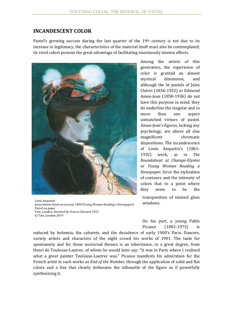#### **INCANDESCENT COLOR**

Pastel's growing success during the last quarter of the  $19<sup>th</sup>$  century is not due to its increase in legitimacy, the characteristics of the material itself must also be contemplated; its vivid colors possess the great advantage of facilitating enormously intense effects.



Louis Anquetin *Jeune femme lisant un journal, 1890* [Young Woman Reading a Newspaper] Pastel on paper Tate, London. Donated by Francis Howard 1922 © Tate, London 2019

Among the artists of this generation, the experience of color is granted an almost mystical dimension, and although the lit pastels of Jules Chéret (1836-1932) or Edmond Aman-Jean (1858-1936) do not have this purpose in mind, they do underline the singular and in more than one aspect unmatched virtues of pastel. Aman-Jean's figures, lacking any psychology, are above all else magnificent chromatic dispositions. The incandescence of Louis Anquetin's (1861- 1932) work, as in *The Roundabout at Champs-Elysées* or *Young Woman Reading a Newspaper*, force the stylization of contours and the intensity of colors that to a point where they seem to be the transposition of stained glass windows.

On his part, a young Pablo Picasso (1881-1973) is

seduced by bohemia, the cabarets, and the decadence of early 1900's Paris. Dancers, variety artists and characters of the night crowd his works of 1901. The taste for spontaneity and for those nocturnal themes is an inheritance, to a great degree, from Henri de Toulouse-Lautrec, of whom he would later say: "It was in Paris where I realized what a great painter Toulouse-Lautrec was." Picasso manifests his admiration for the French artist in such works as *End of the Number*, through the application of solid and flat colors and a line that clearly delineates the silhouette of the figure as if powerfully synthesizing it.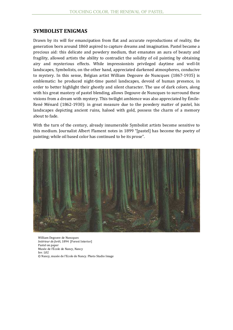#### **SYMBOLIST ENIGMAS**

Drawn by its will for emancipation from flat and accurate reproductions of reality, the generation born around 1860 aspired to capture dreams and imagination. Pastel became a precious aid: this delicate and powdery medium, that emanates an aura of beauty and fragility, allowed artists the ability to contradict the solidity of oil painting by obtaining airy and mysterious effects. While impressionists privileged daytime and well-lit landscapes, Symbolists, on the other hand, appreciated darkened atmospheres, conducive to mystery. In this sense, Belgian artist William Degouve de Nuncques (1867-1935) is emblematic: he produced night-time pastel landscapes, devoid of human presence, in order to better highlight their ghostly and silent character. The use of dark colors, along with his great mastery of pastel blending, allows Degouve de Nuncques to surround these visions from a dream with mystery. This twilight ambience was also appreciated by Émile-René Ménard (1862-1930): in great measure due to the powdery matter of pastel, his landscapes depicting ancient ruins, haloed with gold, possess the charm of a memory about to fade.

With the turn of the century, already innumerable Symbolist artists become sensitive to this medium. Journalist Albert Flament notes in 1899 "[pastel] has become the poetry of painting; while oil based color has continued to be its prose".



William Degouve de Nuncques *Intérieur de forêt*, 1894 [Forest Interior] Pastel on paper Musée de l'École de Nancy, Nancy Inv. L02 © Nancy, musée de l'Ecole de Nancy. Photo Studio Image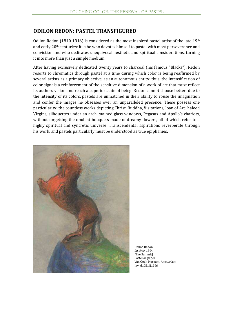#### **ODILON REDON: PASTEL TRANSFIGURED**

Odilon Redon (1840-1916) is considered as the most inspired pastel artist of the late  $19<sup>th</sup>$ and early 20th centuries: it is he who devotes himself to pastel with most perseverance and conviction and who dedicates unequivocal aesthetic and spiritual considerations, turning it into more than just a simple medium.

After having exclusively dedicated twenty years to charcoal (his famous "Blacks"), Redon resorts to chromatics through pastel at a time during which color is being reaffirmed by several artists as a primary objective, as an autonomous entity: thus, the intensification of color signals a reinforcement of the sensitive dimension of a work of art that must reflect its authors vision and reach a superior state of being. Redon cannot choose better: due to the intensity of its colors, pastels are unmatched in their ability to rouse the imagination and confer the images he obsesses over an unparalleled presence. These possess one particularity: the countless works depicting Christ, Buddha, Visitations, Joan of Arc, haloed Virgins, silhouettes under an arch, stained glass windows, Pegasus and Apollo's chariots, without forgetting the opulent bouquets made of dreamy flowers, all of which refer to a highly spiritual and syncretic universe. Transcendental aspirations reverberate through his work, and pastels particularly must be understood as true epiphanies.



Odilon Redon *La cime*, 1894 [The Summit] Pastel on paper Van Gogh Museum, Amsterdam Inv. d1051N1996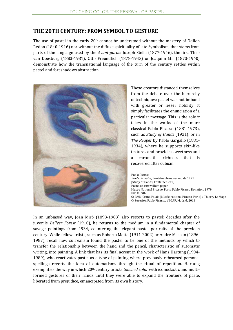#### **THE 20TH CENTURY: FROM SYMBOL TO GESTURE**

The use of pastel in the early  $20<sup>th</sup>$  cannot be understood without the mastery of Odilon Redon (1840-1916) nor without the diffuse spirituality of late Symbolism, that stems from parts of the language used by the *Avant-garde*: Joseph Stella (1877-1946), the first Theo van Doesburg (1883-1931), Otto Freundlich (1878-1943) or Joaquim Mir (1873-1940) demonstrate how the transnational language of the turn of the century settles within pastel and foreshadows abstraction.



These creators distanced themselves from the debate over the hierarchy of techniques: pastel was not imbued with greater or lesser nobility, it simply facilitates the enunciation of a particular message. This is the role it takes in the works of the more classical Pablo Picasso (1881-1973), such as *Study of Hands* (1921), or in *The Reaper* by Pablo Gargallo (1881- 1934), where he supports skin-like textures and provides sweetness and a chromatic richness that is recovered after cubism.

Pablo Picasso *Étude de mains*, Fontainebleau, verano de 1921 [Study of Hands, Fontainebleau] Pastel on raw vellum paper Musée National Picasso, Paris. Pablo Picasso Donation, 1979 Inv. MP907 © RMN-Grand Palais (Musée national Picasso-Paris) / Thierry Le Mage © Sucesión Pablo Picasso, VEGAP, Madrid, 2019

In an unbiased way, Joan Miró (1893-1983) also resorts to pastel: decades after the juvenile *Bellver Forest* (1910), he returns to the medium in a fundamental chapter of savage paintings from 1934, countering the elegant pastel portraits of the previous century. While fellow artists, such as Roberto Matta (1911-2002) or André Masson (1896- 1987), recall how surrealism found the pastel to be one of the methods by which to transfer the relationship between the hand and the pencil, characteristic of automatic writing, into painting. A link that has its final accent in the work of Hans Hartung (1904- 1989), who reactivates pastel as a type of painting where previously rehearsed personal spellings reverts the idea of automatisms through the ritual of repetition. Hartung exemplifies the way in which 20th century artists *touched color* with iconoclastic and multiformed gestures of their hands until they were able to expand the frontiers of paste, liberated from prejudice, emancipated from its own history.